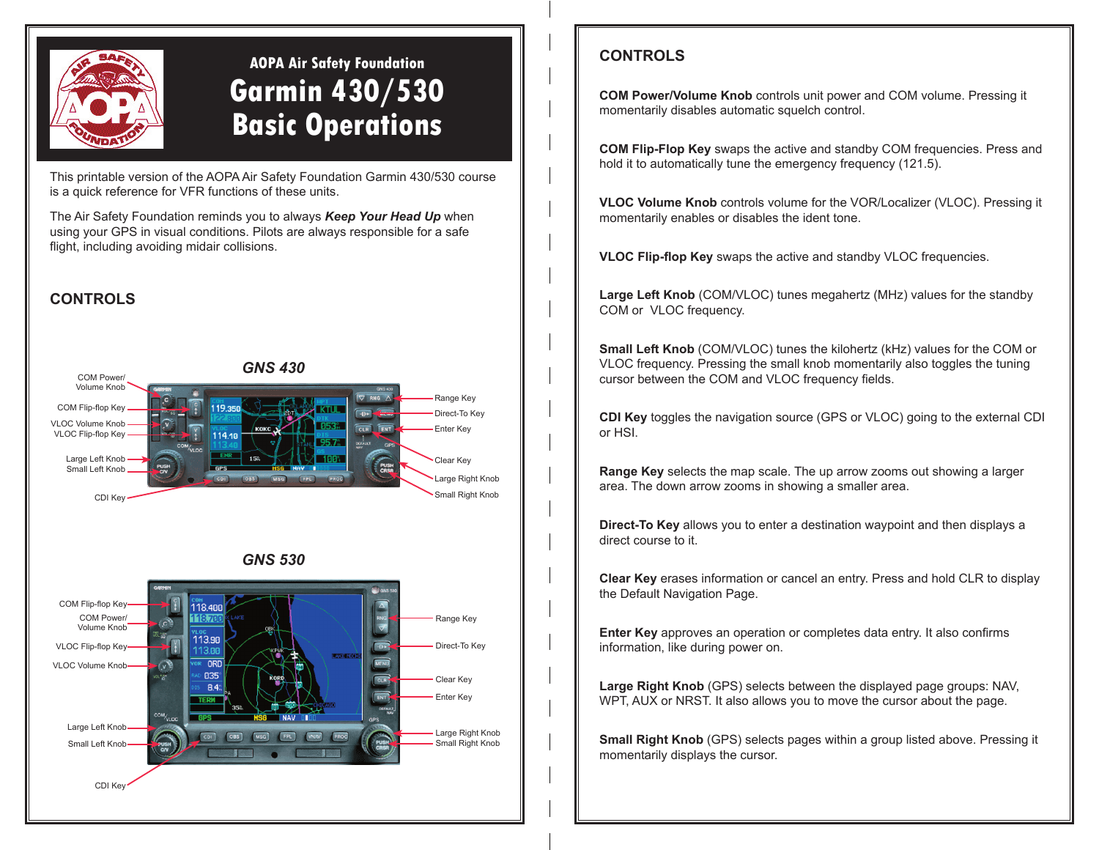

# **AOPA Air Safety Foundation Garmin 430/530 Basic Operations**

This printable version of the AOPA Air Safety Foundation Garmin 430/530 course is a quick reference for VFR functions of these units.

The Air Safety Foundation reminds you to always *Keep Your Head Up* when using your GPS in visual conditions. Pilots are always responsible for a safe flight, including avoiding midair collisions.

# **CONTROLS**







# **CONTROLS**

**COM Power/Volume Knob** controls unit power and COM volume. Pressing it momentarily disables automatic squelch control.

**COM Flip-Flop Key** swaps the active and standby COM frequencies. Press and hold it to automatically tune the emergency frequency (121.5).

**VLOC Volume Knob** controls volume for the VOR/Localizer (VLOC). Pressing it momentarily enables or disables the ident tone.

**VLOC Flip-flop Key** swaps the active and standby VLOC frequencies.

**Large Left Knob** (COM/VLOC) tunes megahertz (MHz) values for the standby COM or VLOC frequency.

**Small Left Knob** (COM/VLOC) tunes the kilohertz (kHz) values for the COM or VLOC frequency. Pressing the small knob momentarily also toggles the tuning cursor between the COM and VLOC frequency fields.

**CDI Key** toggles the navigation source (GPS or VLOC) going to the external CDI or HSI.

**Range Key** selects the map scale. The up arrow zooms out showing a larger area. The down arrow zooms in showing a smaller area.

**Direct-To Key** allows you to enter a destination waypoint and then displays a direct course to it.

**Clear Key** erases information or cancel an entry. Press and hold CLR to display the Default Navigation Page.

**Enter Key** approves an operation or completes data entry. It also confirms information, like during power on.

**Large Right Knob** (GPS) selects between the displayed page groups: NAV, WPT, AUX or NRST. It also allows you to move the cursor about the page.

**Small Right Knob** (GPS) selects pages within a group listed above. Pressing it momentarily displays the cursor.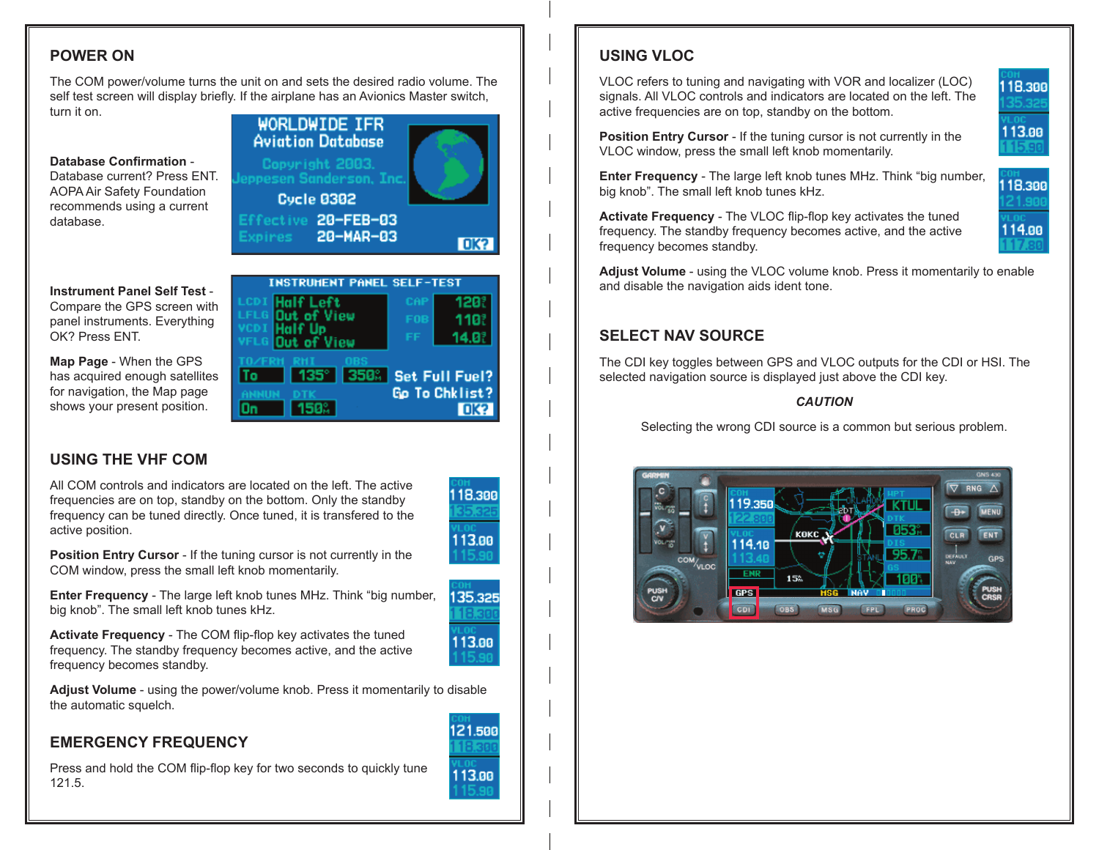# **POWER ON**

The COM power/volume turns the unit on and sets the desired radio volume. The self test screen will display briefly. If the airplane has an Avionics Master switch, turn it on.



l 150%

# **USING THE VHF COM**

shows your present position.

All COM controls and indicators are located on the left. The active frequencies are on top, standby on the bottom. Only the standby frequency can be tuned directly. Once tuned, it is transfered to the active position.

On



135.325

113.00

**OK?** 

**Position Entry Cursor** - If the tuning cursor is not currently in the COM window, press the small left knob momentarily.

**Enter Frequency** - The large left knob tunes MHz. Think "big number, big knob". The small left knob tunes kHz.

**Activate Frequency** - The COM flip-flop key activates the tuned frequency. The standby frequency becomes active, and the active frequency becomes standby.

**Adjust Volume** - using the power/volume knob. Press it momentarily to disable the automatic squelch.

# **EMERGENCY FREQUENCY**

Press and hold the COM flip-flop key for two seconds to quickly tune 121.5.

# **USING VLOC**

VLOC refers to tuning and navigating with VOR and localizer (LOC) signals. All VLOC controls and indicators are located on the left. The active frequencies are on top, standby on the bottom.

**Position Entry Cursor** - If the tuning cursor is not currently in the VLOC window, press the small left knob momentarily.

**Enter Frequency** - The large left knob tunes MHz. Think "big number, big knob". The small left knob tunes kHz.

**Activate Frequency** - The VLOC flip-flop key activates the tuned frequency. The standby frequency becomes active, and the active frequency becomes standby.

**Adjust Volume** - using the VLOC volume knob. Press it momentarily to enable and disable the navigation aids ident tone.

# **SELECT NAV SOURCE**

The CDI key toggles between GPS and VLOC outputs for the CDI or HSI. The selected navigation source is displayed just above the CDI key.

#### *CAUTION*

Selecting the wrong CDI source is a common but serious problem.







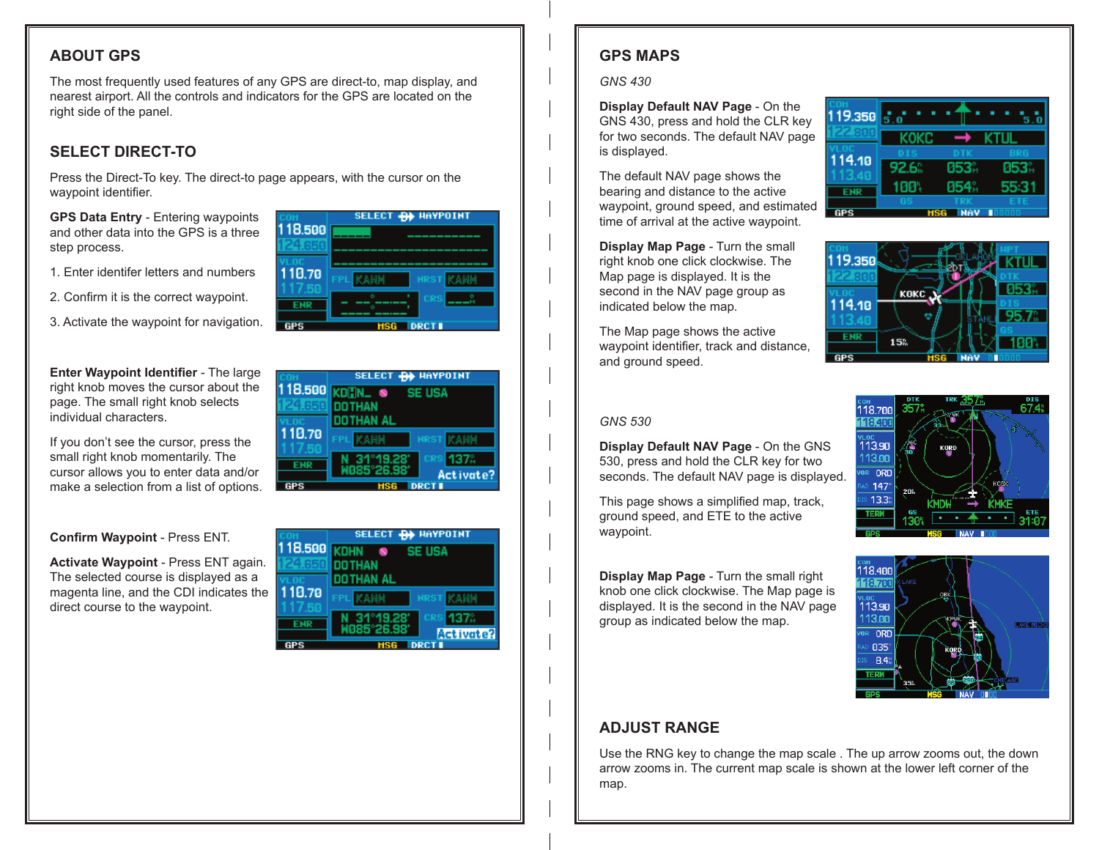## **ABOUT GPS**

The most frequently used features of any GPS are direct-to, map display, and nearest airport. All the controls and indicators for the GPS are located on the right side of the panel.

## **SELECT DIRECT-TO**

Press the Direct-To key. The direct-to page appears, with the cursor on the waypoint identifier.

**GPS Data Entry** - Entering waypoints and other data into the GPS is a three step process.

- 1. Enter identifer letters and numbers
- 2. Confirm it is the correct waypoint.
- 3. Activate the waypoint for navigation.

**Enter Waypoint Identifier** - The large right knob moves the cursor about the page. The small right knob selects individual characters.

If you don't see the cursor, press the small right knob momentarily. The cursor allows you to enter data and/or make a selection from a list of options.

**Confirm Waypoint** - Press ENT.

**Activate Waypoint** - Press ENT again. The selected course is displayed as a magenta line, and the CDI indicates the direct course to the waypoint.

|        | SELECT <b>- RA</b> HAYPOINT          |  |  |
|--------|--------------------------------------|--|--|
| 18.500 | I KDHN<br><b>SE USA</b><br>$\bullet$ |  |  |
|        | DOTHAN                               |  |  |
| 110.70 | IOTHAN AL                            |  |  |
|        | <b>NRST</b>                          |  |  |
| ENR    | CRS<br>31°19.28                      |  |  |
|        | 085°26.98'<br>Activate?              |  |  |
|        |                                      |  |  |



118.500 KDHN S SE USA **DOTHAN** 

**DOTHAN AL** 

-31

°19.28'

110.70

**ENR** 

**GPS** 

SELECT **-B+** HAYPOINT

Activate?

# **GPS MAPS**

#### *GNS 430*

**Display Default NAV Page** - On the GNS 430, press and hold the CLR key for two seconds. The default NAV page is displayed.

The default NAV page shows the bearing and distance to the active waypoint, ground speed, and estimated time of arrival at the active waypoint.

**Display Map Page** - Turn the small right knob one click clockwise. The Map page is displayed. It is the second in the NAV page group as indicated below the map.

The Map page shows the active waypoint identifier, track and distance, and ground speed.





#### *GNS 530*

**Display Default NAV Page** - On the GNS 530, press and hold the CLR key for two seconds. The default NAV page is displayed.

This page shows a simplified map, track, ground speed, and ETE to the active waypoint.

**Display Map Page** - Turn the small right knob one click clockwise. The Map page is displayed. It is the second in the NAV page group as indicated below the map.





# **ADJUST RANGE**

Use the RNG key to change the map scale . The up arrow zooms out, the down arrow zooms in. The current map scale is shown at the lower left corner of the map.